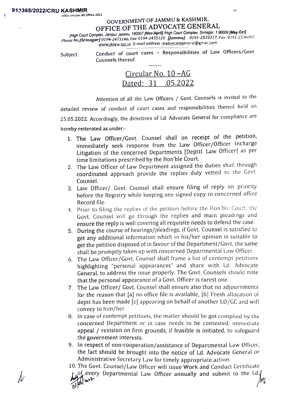## GOVERNMENT OF JAMMU & KASHMIR, OFFICE OF THE ADVOCATE GENERAL

IHigh Court Complex, Janipur Jammu, 180007 [Nov-April] /High Court Complex, Srinegar, 1 90009 (May-Oct] Phone No.[Srinagar] 0194-2473146, Fax-0194-2455 120 Jammu) 0191-2533317, Fax -0191-2536065 www.jklaw.nic.in E-mail address -jkadvocategeneral@gmail.com

Conduct of court cases - Responsibilities of Law Officers/Govt. Subject: Conduct of cour<br>Counsels thereof.

|  | Circular No. 10 – AG |
|--|----------------------|
|  | Dated: 31 .05.2022   |

**Contractor** 

Attention of all the Law Officers / Govt. Counsels is invited to the detailed review of conduct of court cases and responsibilities thereof held on 25.05.2022. Accordingly, the directives of Ld. Advocate General for compliance are hereby reiterated as under:

- 1. The Law Officer/Govt. Counsel shall on receipt of the petition, immediately seek response from the Law Officer/Officer Incharge Litigation of the concerned Departments [Depttl. Law Officer] as per time limitations prescribed by the Hon'ble Court.
- 2. The Law Officer of Law Department assigned the duties shall through coordinated approach provide the replies duly vetted to the Govt Counsel.
- 3. Law Officer/ Govt. Counsel shall ensure filing of reply on priority before the Registry while keeping one signed copy in concerned office Record file.
- 4 Prior to filing the replies of the petition before the Hon'ble Court, the Govt. Counsel will go through the replies and main pleadings and ensure the reply is well covering all requisite needs to defend the case.
- 5. During the course of hearings/pleadings, if Govt. Counsel is satisfied to get any additional information which in his/her opinion is suitable to get the petition disposed of in favour of the Department/Govt, the same shall be promptly taken up with concerned Departmental Law Officer.
- 6. The Law Officer/Govt. Counsel shall frame a list of contempt petitions highlighting "personal appearances" and share with Ld. Advocate General, to address the issue properly. The Govt. Counsels should note that the personal appearance of a Govt. Officer is rarest one.
- 7. The Law Officer/ Govt. Counsel shall ensure also that no adjournments for the reason that [a] no office file is available, [b] Fresh allocation of deptt has been made [c] appearing on behalf of another LO/GC and will convey to him/her.
- 8. In case of contempt petitions, the matter should be got complied by the concerned Department or in case needs to be contested, immediate appeal / revision on firm grounds, if feasible is initiated, to safeguard the government interests.
- 9. In respect of non-cooperation/assistance of Departmental Law Officer, the fact should be brought into the notice of Ld. Advocate General or Administrative Secretary Law for timely appropriate action.

10.The Govt. Counsel/Law Officer will issue Work and Conduct Certificate

of every Departmental Law Officer annually and submit to the Ld.(  $\delta\!\!\!\gamma_{\alpha}$  .